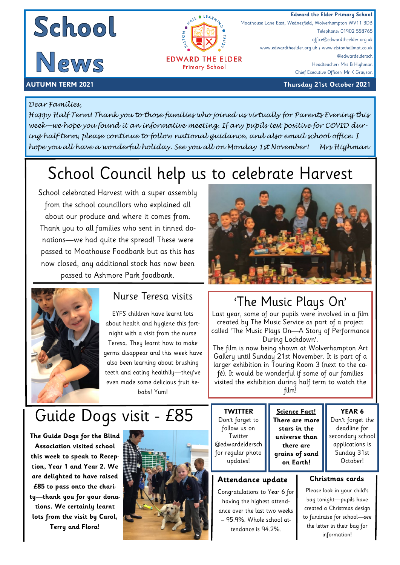

Telephone: 01902 558765 office@edwardtheelder.org.uk

Headteacher: Mrs B Highman Chief Executive Officer: Mr K Grayson

@edwardeldersch

Moathouse Lane East, Wednesfield, Wolverhampton WV11 3DB

www.edwardtheelder.org.uk / www.elstonhallmat.co.uk



#### **AUTUMN TERM 2021 Thursday 21st October 2021**

#### *Dear Families,*

*Happy Half Term! Thank you to those families who joined us virtually for Parents Evening this week—we hope you found it an informative meeting. If any pupils test positive for COVID during half term, please continue to follow national guidance, and also email school office. I hope you all have a wonderful holiday. See you all on Monday 1st November! Mrs Highman* 

**EDWARD THE ELDER Primary School** 

ò

# School Council help us to celebrate Harvest

School celebrated Harvest with a super assembly from the school councillors who explained all about our produce and where it comes from. Thank you to all families who sent in tinned donations—we had quite the spread! These were passed to Moathouse Foodbank but as this has now closed, any additional stock has now been passed to Ashmore Park foodbank.



#### Nurse Teresa visits

EYFS children have learnt lots about health and hygiene this fortnight with a visit from the nurse Teresa. They learnt how to make germs disappear and this week have also been learning about brushing teeth and eating healthily—they've even made some delicious fruit kebabs! Yum!

# Guide Dogs visit - £85

**The Guide Dogs for the Blind Association visited school this week to speak to Reception, Year 1 and Year 2. We are delighted to have raised £85 to pass onto the charity—thank you for your donations. We certainly learnt lots from the visit by Carol, Terry and Flora!**



### 'The Music Plays On'

Last year, some of our pupils were involved in a film created by The Music Service as part of a project called 'The Music Plays On—A Story of Performance During Lockdown'.

The film is now being shown at Wolverhampton Art Gallery until Sunday 21st November. It is part of a larger exhibition in Touring Room 3 (next to the café). It would be wonderful if some of our families visited the exhibition during half term to watch the film!

> **Science Fact! There are more stars in the universe than there are grains of sand on Earth!**

#### **TWITTER** Don't forget to follow us on **Twitter** @edwardeldersch for regular photo updates!

#### **Attendance update**

Congratulations to Year 6 for having the highest attendance over the last two weeks – 95.9%. Whole school at-

tendance is 94.2%.

**YEAR 6** 

Don't forget the deadline for secondary school applications is Sunday 31st October!

#### **Christmas cards**

Please look in your child's bag tonight—pupils have created a Christmas design to fundraise for school—see the letter in their bag for information!